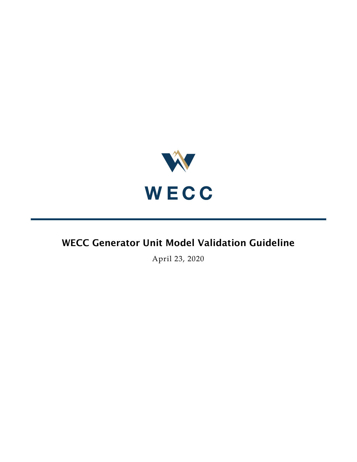

# WECC Generator Unit Model Validation Guideline

April 23, 2020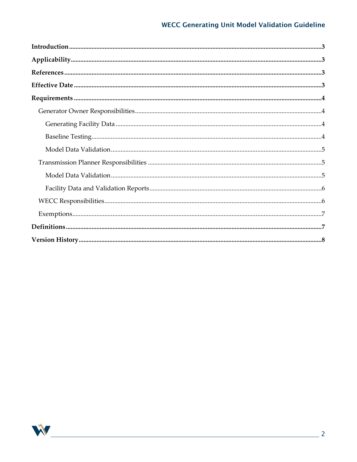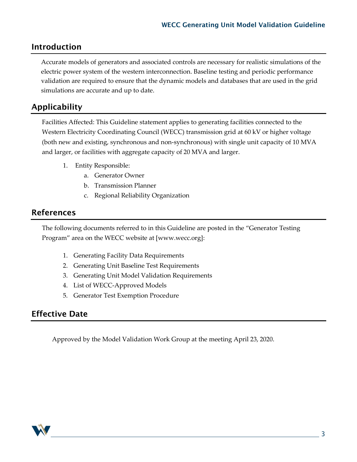### <span id="page-2-0"></span>Introduction

Accurate models of generators and associated controls are necessary for realistic simulations of the electric power system of the western interconnection. Baseline testing and periodic performance validation are required to ensure that the dynamic models and databases that are used in the grid simulations are accurate and up to date.

## <span id="page-2-1"></span>Applicability

Facilities Affected: This Guideline statement applies to generating facilities connected to the Western Electricity Coordinating Council (WECC) transmission grid at 60 kV or higher voltage (both new and existing, synchronous and non-synchronous) with single unit capacity of 10 MVA and larger, or facilities with aggregate capacity of 20 MVA and larger.

- 1. Entity Responsible:
	- a. Generator Owner
	- b. Transmission Planner
	- c. Regional Reliability Organization

## <span id="page-2-2"></span>References

The following documents referred to in this Guideline are posted in the "Generator Testing Program" area on the WECC website at [www.wecc.org]:

- 1. Generating Facility Data Requirements
- 2. Generating Unit Baseline Test Requirements
- 3. Generating Unit Model Validation Requirements
- 4. List of WECC-Approved Models
- 5. Generator Test Exemption Procedure

## <span id="page-2-3"></span>Effective Date

Approved by the Model Validation Work Group at the meeting April 23, 2020.

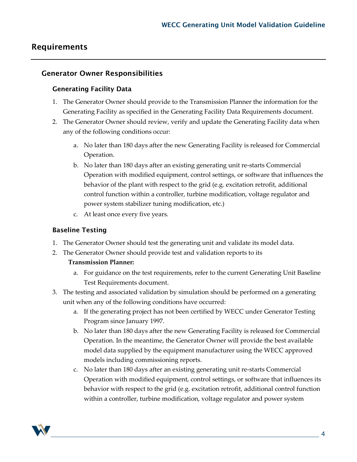### <span id="page-3-0"></span>Requirements

#### <span id="page-3-2"></span><span id="page-3-1"></span>Generator Owner Responsibilities

#### Generating Facility Data

- 1. The Generator Owner should provide to the Transmission Planner the information for the Generating Facility as specified in the Generating Facility Data Requirements document.
- 2. The Generator Owner should review, verify and update the Generating Facility data when any of the following conditions occur:
	- a. No later than 180 days after the new Generating Facility is released for Commercial Operation.
	- b. No later than 180 days after an existing generating unit re-starts Commercial Operation with modified equipment, control settings, or software that influences the behavior of the plant with respect to the grid (e.g. excitation retrofit, additional control function within a controller, turbine modification, voltage regulator and power system stabilizer tuning modification, etc.)
	- c. At least once every five years.

#### <span id="page-3-3"></span>Baseline Testing

- 1. The Generator Owner should test the generating unit and validate its model data.
- 2. The Generator Owner should provide test and validation reports to its

#### **Transmission Planner:**

- a. For guidance on the test requirements, refer to the current Generating Unit Baseline Test Requirements document.
- 3. The testing and associated validation by simulation should be performed on a generating unit when any of the following conditions have occurred:
	- a. If the generating project has not been certified by WECC under Generator Testing Program since January 1997.
	- b. No later than 180 days after the new Generating Facility is released for Commercial Operation. In the meantime, the Generator Owner will provide the best available model data supplied by the equipment manufacturer using the WECC approved models including commissioning reports.
	- c. No later than 180 days after an existing generating unit re-starts Commercial Operation with modified equipment, control settings, or software that influences its behavior with respect to the grid (e.g. excitation retrofit, additional control function within a controller, turbine modification, voltage regulator and power system

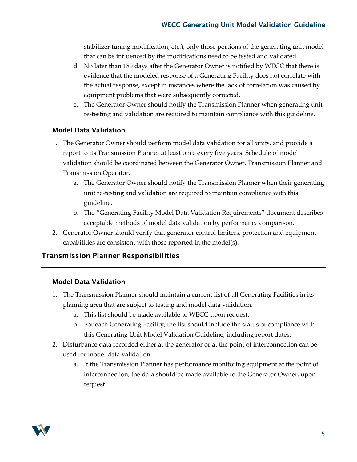stabilizer tuning modification, etc.), only those portions of the generating unit model that can be influenced by the modifications need to be tested and validated.

- d. No later than 180 days after the Generator Owner is notified by WECC that there is evidence that the modeled response of a Generating Facility does not correlate with the actual response, except in instances where the lack of correlation was caused by equipment problems that were subsequently corrected.
- e. The Generator Owner should notify the Transmission Planner when generating unit re-testing and validation are required to maintain compliance with this guideline.

#### <span id="page-4-0"></span>Model Data Validation

- 1. The Generator Owner should perform model data validation for all units, and provide a report to its Transmission Planner at least once every five years. Schedule of model validation should be coordinated between the Generator Owner, Transmission Planner and Transmission Operator.
	- a. The Generator Owner should notify the Transmission Planner when their generating unit re-testing and validation are required to maintain compliance with this guideline.
	- b. The "Generating Facility Model Data Validation Requirements" document describes acceptable methods of model data validation by performance comparison.
- 2. Generator Owner should verify that generator control limiters, protection and equipment capabilities are consistent with those reported in the model(s).

#### <span id="page-4-1"></span>Transmission Planner Responsibilities

#### <span id="page-4-2"></span>Model Data Validation

- 1. The Transmission Planner should maintain a current list of all Generating Facilities in its planning area that are subject to testing and model data validation.
	- a. This list should be made available to WECC upon request.
	- b. For each Generating Facility, the list should include the status of compliance with this Generating Unit Model Validation Guideline, including report dates.
- 2. Disturbance data recorded either at the generator or at the point of interconnection can be used for model data validation.
	- a. If the Transmission Planner has performance monitoring equipment at the point of interconnection, the data should be made available to the Generator Owner, upon request.

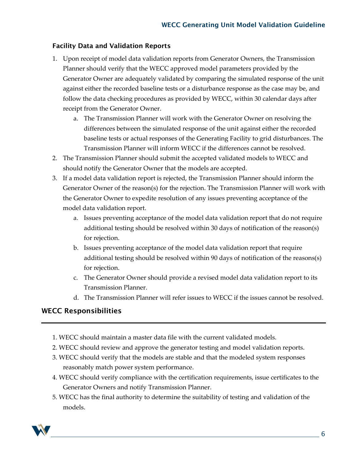#### <span id="page-5-0"></span>Facility Data and Validation Reports

- 1. Upon receipt of model data validation reports from Generator Owners, the Transmission Planner should verify that the WECC approved model parameters provided by the Generator Owner are adequately validated by comparing the simulated response of the unit against either the recorded baseline tests or a disturbance response as the case may be, and follow the data checking procedures as provided by WECC, within 30 calendar days after receipt from the Generator Owner.
	- a. The Transmission Planner will work with the Generator Owner on resolving the differences between the simulated response of the unit against either the recorded baseline tests or actual responses of the Generating Facility to grid disturbances. The Transmission Planner will inform WECC if the differences cannot be resolved.
- 2. The Transmission Planner should submit the accepted validated models to WECC and should notify the Generator Owner that the models are accepted.
- 3. If a model data validation report is rejected, the Transmission Planner should inform the Generator Owner of the reason(s) for the rejection. The Transmission Planner will work with the Generator Owner to expedite resolution of any issues preventing acceptance of the model data validation report.
	- a. Issues preventing acceptance of the model data validation report that do not require additional testing should be resolved within 30 days of notification of the reason(s) for rejection.
	- b. Issues preventing acceptance of the model data validation report that require additional testing should be resolved within 90 days of notification of the reasons(s) for rejection.
	- c. The Generator Owner should provide a revised model data validation report to its Transmission Planner.
	- d. The Transmission Planner will refer issues to WECC if the issues cannot be resolved.

#### <span id="page-5-1"></span>WECC Responsibilities

- 1. WECC should maintain a master data file with the current validated models.
- 2. WECC should review and approve the generator testing and model validation reports.
- 3. WECC should verify that the models are stable and that the modeled system responses reasonably match power system performance.
- 4. WECC should verify compliance with the certification requirements, issue certificates to the Generator Owners and notify Transmission Planner.
- 5. WECC has the final authority to determine the suitability of testing and validation of the models.

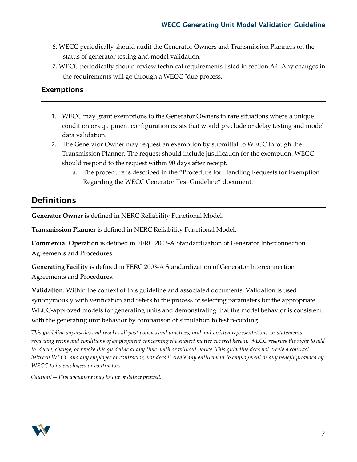- 6. WECC periodically should audit the Generator Owners and Transmission Planners on the status of generator testing and model validation.
- 7. WECC periodically should review technical requirements listed in section A4. Any changes in the requirements will go through a WECC "due process."

#### <span id="page-6-0"></span>Exemptions

- 1. WECC may grant exemptions to the Generator Owners in rare situations where a unique condition or equipment configuration exists that would preclude or delay testing and model data validation.
- 2. The Generator Owner may request an exemption by submittal to WECC through the Transmission Planner. The request should include justification for the exemption. WECC should respond to the request within 90 days after receipt.
	- a. The procedure is described in the "Procedure for Handling Requests for Exemption Regarding the WECC Generator Test Guideline" document.

## <span id="page-6-1"></span>**Definitions**

**Generator Owner** is defined in NERC Reliability Functional Model.

**Transmission Planner** is defined in NERC Reliability Functional Model.

**Commercial Operation** is defined in FERC 2003-A Standardization of Generator Interconnection Agreements and Procedures.

**Generating Facility** is defined in FERC 2003-A Standardization of Generator Interconnection Agreements and Procedures.

**Validation**. Within the context of this guideline and associated documents, Validation is used synonymously with verification and refers to the process of selecting parameters for the appropriate WECC-approved models for generating units and demonstrating that the model behavior is consistent with the generating unit behavior by comparison of simulation to test recording.

*This guideline supersedes and revokes all past policies and practices, oral and written representations, or statements regarding terms and conditions of employment concerning the subject matter covered herein. WECC reserves the right to add to, delete, change, or revoke this guideline at any time, with or without notice. This guideline does not create a contract between WECC and any employee or contractor, nor does it create any entitlement to employment or any benefit provided by WECC to its employees or contractors.* 

*Caution!—This document may be out of date if printed.*